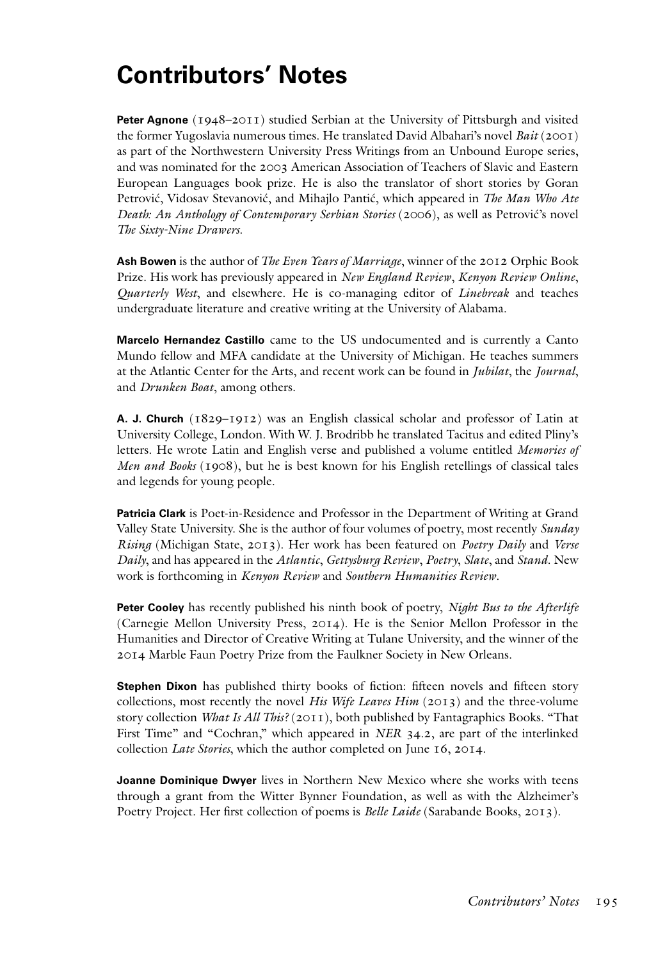## **Contributors' Notes**

**Peter Agnone** (1948–2011) studied Serbian at the University of Pittsburgh and visited the former Yugoslavia numerous times. He translated David Albahari's novel *Bait* (2001) as part of the Northwestern University Press Writings from an Unbound Europe series, and was nominated for the 2003 American Association of Teachers of Slavic and Eastern European Languages book prize. He is also the translator of short stories by Goran Petrović, Vidosav Stevanović, and Mihajlo Pantić, which appeared in *The Man Who Ate Death: An Anthology of Contemporary Serbian Stories* (2006), as well as Petrović's novel *The Sixty-Nine Drawers*.

**Ash Bowen** is the author of *The Even Years of Marriage*, winner of the 2012 Orphic Book Prize. His work has previously appeared in *New England Review*, *Kenyon Review Online*, *Quarterly West*, and elsewhere. He is co-managing editor of *Linebreak* and teaches undergraduate literature and creative writing at the University of Alabama.

**Marcelo Hernandez Castillo** came to the US undocumented and is currently a Canto Mundo fellow and MFA candidate at the University of Michigan. He teaches summers at the Atlantic Center for the Arts, and recent work can be found in *Jubilat*, the *Journal*, and *Drunken Boat*, among others.

**A. J. Church** (1829–1912) was an English classical scholar and professor of Latin at University College, London. With W. J. Brodribb he translated Tacitus and edited Pliny's letters. He wrote Latin and English verse and published a volume entitled *Memories of Men and Books* (1908), but he is best known for his English retellings of classical tales and legends for young people.

**Patricia Clark** is Poet-in-Residence and Professor in the Department of Writing at Grand Valley State University. She is the author of four volumes of poetry, most recently *Sunday Rising* (Michigan State, 2013). Her work has been featured on *Poetry Daily* and *Verse Daily*, and has appeared in the *Atlantic*, *Gettysburg Review*, *Poetry*, *Slate*, and *Stand*. New work is forthcoming in *Kenyon Review* and *Southern Humanities Review*.

**Peter Cooley** has recently published his ninth book of poetry, *Night Bus to the Afterlife* (Carnegie Mellon University Press, 2014). He is the Senior Mellon Professor in the Humanities and Director of Creative Writing at Tulane University, and the winner of the 2014 Marble Faun Poetry Prize from the Faulkner Society in New Orleans.

**Stephen Dixon** has published thirty books of fiction: fifteen novels and fifteen story collections, most recently the novel *His Wife Leaves Him* (2013) and the three-volume story collection *What Is All This?* (2011), both published by Fantagraphics Books. "That First Time" and "Cochran," which appeared in *NER* 34.2, are part of the interlinked collection *Late Stories*, which the author completed on June 16, 2014.

**Joanne Dominique Dwyer** lives in Northern New Mexico where she works with teens through a grant from the Witter Bynner Foundation, as well as with the Alzheimer's Poetry Project. Her first collection of poems is *Belle Laide* (Sarabande Books, 2013).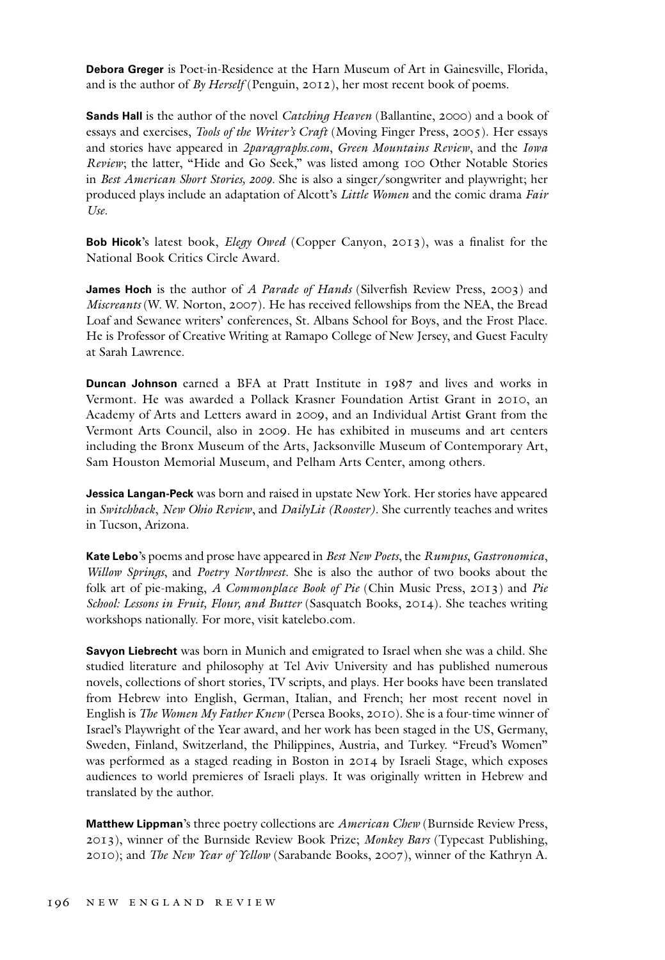**Debora Greger** is Poet-in-Residence at the Harn Museum of Art in Gainesville, Florida, and is the author of *By Herself* (Penguin, 2012), her most recent book of poems.

**Sands Hall** is the author of the novel *Catching Heaven* (Ballantine, 2000) and a book of essays and exercises, *Tools of the Writer's Craft* (Moving Finger Press, 2005). Her essays and stories have appeared in *2paragraphs.com*, *Green Mountains Review*, and the *Iowa Review*; the latter, "Hide and Go Seek," was listed among 100 Other Notable Stories in *Best American Short Stories, 2009.* She is also a singer/songwriter and playwright; her produced plays include an adaptation of Alcott's *Little Women* and the comic drama *Fair Use*.

**Bob Hicok**'s latest book, *Elegy Owed* (Copper Canyon, 2013), was a finalist for the National Book Critics Circle Award.

**James Hoch** is the author of *A Parade of Hands* (Silverfish Review Press, 2003) and *Miscreants* (W. W. Norton, 2007). He has received fellowships from the NEA, the Bread Loaf and Sewanee writers' conferences, St. Albans School for Boys, and the Frost Place. He is Professor of Creative Writing at Ramapo College of New Jersey, and Guest Faculty at Sarah Lawrence.

**Duncan Johnson** earned a BFA at Pratt Institute in 1987 and lives and works in Vermont. He was awarded a Pollack Krasner Foundation Artist Grant in 2010, an Academy of Arts and Letters award in 2009, and an Individual Artist Grant from the Vermont Arts Council, also in 2009. He has exhibited in museums and art centers including the Bronx Museum of the Arts, Jacksonville Museum of Contemporary Art, Sam Houston Memorial Museum, and Pelham Arts Center, among others.

**Jessica Langan-Peck** was born and raised in upstate New York. Her stories have appeared in *Switchback*, *New Ohio Review*, and *DailyLit (Rooster)*. She currently teaches and writes in Tucson, Arizona.

**Kate Lebo**'s poems and prose have appeared in *Best New Poets*, the *Rumpus*, *Gastronomica*, *Willow Springs*, and *Poetry Northwest*. She is also the author of two books about the folk art of pie-making, *A Commonplace Book of Pie* (Chin Music Press, 2013) and *Pie School: Lessons in Fruit, Flour, and Butter* (Sasquatch Books, 2014). She teaches writing workshops nationally. For more, visit [katelebo.com.](http://katelebo.com/)

**Savyon Liebrecht** was born in Munich and emigrated to Israel when she was a child. She studied literature and philosophy at Tel Aviv University and has published numerous novels, collections of short stories, TV scripts, and plays. Her books have been translated from Hebrew into English, German, Italian, and French; her most recent novel in English is *The Women My Father Knew* (Persea Books, 2010). She is a four-time winner of Israel's Playwright of the Year award, and her work has been staged in the US, Germany, Sweden, Finland, Switzerland, the Philippines, Austria, and Turkey. "Freud's Women" was performed as a staged reading in Boston in 2014 by Israeli Stage, which exposes audiences to world premieres of Israeli plays. It was originally written in Hebrew and translated by the author.

**Matthew Lippman**'s three poetry collections are *American Chew* (Burnside Review Press, 2013), winner of the Burnside Review Book Prize; *Monkey Bars* (Typecast Publishing, 2010); and *The New Year of Yellow* (Sarabande Books, 2007), winner of the Kathryn A.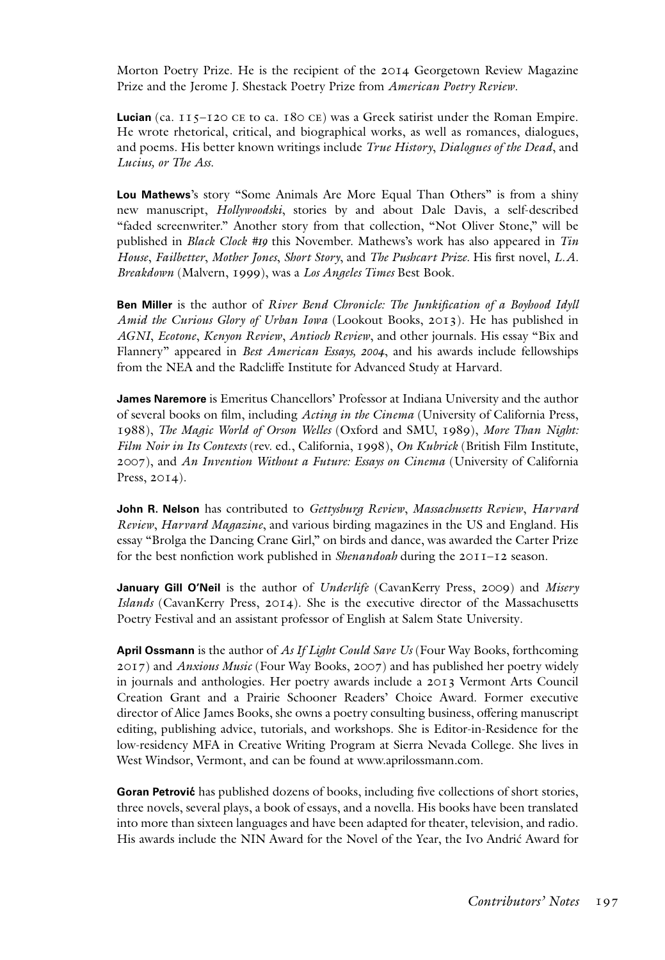Morton Poetry Prize. He is the recipient of the 2014 Georgetown Review Magazine Prize and the Jerome J. Shestack Poetry Prize from *American Poetry Review*.

**Lucian** (ca. 115–120 ce to ca. 180 ce) was a Greek satirist under the Roman Empire. He wrote rhetorical, critical, and biographical works, as well as romances, dialogues, and poems. His better known writings include *True History*, *Dialogues of the Dead*, and *Lucius, or The Ass.*

**Lou Mathews**'s story "Some Animals Are More Equal Than Others" is from a shiny new manuscript, *Hollywoodski*, stories by and about Dale Davis, a self-described "faded screenwriter." Another story from that collection, "Not Oliver Stone," will be published in *Black Clock #9* this November. Mathews's work has also appeared in *Tin House*, *Failbetter*, *Mother Jones*, *Short Story*, and *The Pushcart Prize.* His first novel, *L.A. Breakdown* (Malvern, 1999), was a *Los Angeles Times* Best Book.

**Ben Miller** is the author of *River Bend Chronicle: The Junkification of a Boyhood Idyll Amid the Curious Glory of Urban Iowa* (Lookout Books, 2013). He has published in *AGNI*, *[Ecotone](http://www.ecotonejournal.com/index.php/articles/details/the_reinvention_of_ice)*, *Kenyon Review*, *Antioch Review*, and other journals. His essay "Bix and Flannery" appeared in *Best American Essays*, 2004, and his awards include fellowships from the NEA and the Radcliffe Institute for Advanced Study at Harvard.

**James Naremore** is Emeritus Chancellors' Professor at Indiana University and the author of several books on film, including *Acting in the Cinema* (University of California Press, 1988), *The Magic World of Orson Welles* (Oxford and SMU, 1989), *More Than Night: Film Noir in Its Contexts* (rev. ed., California, 1998), *On Kubrick* (British Film Institute, 2007), and *An Invention Without a Future: Essays on Cinema* (University of California Press, 2014).

**John R. Nelson** has contributed to *Gettysburg Review*, *Massachusetts Review*, *Harvard Review*, *Harvard Magazine*, and various birding magazines in the US and England. His essay "Brolga the Dancing Crane Girl," on birds and dance, was awarded the Carter Prize for the best nonfiction work published in *Shenandoah* during the 2011–12 season.

**January Gill O'Neil** is the author of *Underlife* (CavanKerry Press, 2009) and *Misery Islands* (CavanKerry Press, 2014). She is the executive director of the Massachusetts Poetry Festival and an assistant professor of English at Salem State University.

**April Ossmann** is the author of *As If Light Could Save Us* (Four Way Books, forthcoming 2017) and *Anxious Music* (Four Way Books, 2007) and has published her poetry widely in journals and anthologies. Her poetry awards include a 2013 Vermont Arts Council Creation Grant and a Prairie Schooner Readers' Choice Award. Former executive director of Alice James Books, she owns a poetry consulting business, offering manuscript editing, publishing advice, tutorials, and workshops. She is Editor-in-Residence for the low-residency MFA in Creative Writing Program at Sierra Nevada College. She lives in West Windsor, Vermont, and can be found at www.aprilossmann.com.

**Goran Petrovic** has published dozens of books, including five collections of short stories, **'**three novels, several plays, a book of essays, and a novella. His books have been translated into more than sixteen languages and have been adapted for theater, television, and radio. His awards include the NIN Award for the Novel of the Year, the Ivo Andrić Award for